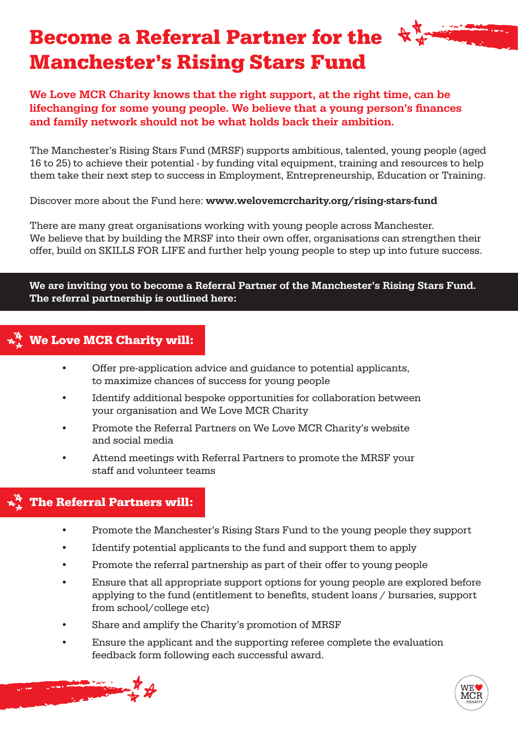## Become a Referral Partner for the Manchester's Rising Stars Fund

We Love MCR Charity knows that the right support, at the right time, can be lifechanging for some young people. We believe that a young person's finances and family network should not be what holds back their ambition.

The Manchester's Rising Stars Fund (MRSF) supports ambitious, talented, young people (aged 16 to 25) to achieve their potential - by funding vital equipment, training and resources to help them take their next step to success in Employment, Entrepreneurship, Education or Training.

Discover more about the Fund here: www.welovemcrcharity.org/rising-stars-fund

There are many great organisations working with young people across Manchester. We believe that by building the MRSF into their own offer, organisations can strengthen their offer, build on SKILLS FOR LIFE and further help young people to step up into future success.

#### We are inviting you to become a Referral Partner of the Manchester's Rising Stars Fund. The referral partnership is outlined here:

#### We Love MCR Charity will:

- Offer pre-application advice and guidance to potential applicants, to maximize chances of success for young people
- Identify additional bespoke opportunities for collaboration between your organisation and We Love MCR Charity
- Promote the Referral Partners on We Love MCR Charity's website and social media
- Attend meetings with Referral Partners to promote the MRSF your staff and volunteer teams

#### The Referral Partners will:

- Promote the Manchester's Rising Stars Fund to the young people they support
- Identify potential applicants to the fund and support them to apply
- Promote the referral partnership as part of their offer to young people
- Ensure that all appropriate support options for young people are explored before applying to the fund (entitlement to benefits, student loans / bursaries, support from school/college etc)
- Share and amplify the Charity's promotion of MRSF
- Ensure the applicant and the supporting referee complete the evaluation feedback form following each successful award.



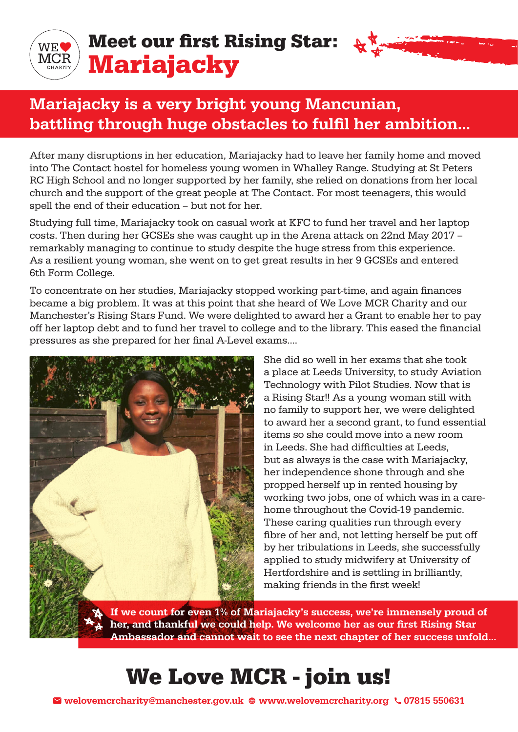

### Meet our first Rising Star: Mariajacky



After many disruptions in her education, Mariajacky had to leave her family home and moved into The Contact hostel for homeless young women in Whalley Range. Studying at St Peters RC High School and no longer supported by her family, she relied on donations from her local church and the support of the great people at The Contact. For most teenagers, this would spell the end of their education – but not for her.

Studying full time, Mariajacky took on casual work at KFC to fund her travel and her laptop costs. Then during her GCSEs she was caught up in the Arena attack on 22nd May 2017 – remarkably managing to continue to study despite the huge stress from this experience. As a resilient young woman, she went on to get great results in her 9 GCSEs and entered 6th Form College.

To concentrate on her studies, Mariajacky stopped working part-time, and again finances became a big problem. It was at this point that she heard of We Love MCR Charity and our Manchester's Rising Stars Fund. We were delighted to award her a Grant to enable her to pay off her laptop debt and to fund her travel to college and to the library. This eased the financial pressures as she prepared for her final A-Level exams....



She did so well in her exams that she took a place at Leeds University, to study Aviation Technology with Pilot Studies. Now that is a Rising Star!! As a young woman still with no family to support her, we were delighted to award her a second grant, to fund essential items so she could move into a new room in Leeds. She had difficulties at Leeds, but as always is the case with Mariajacky, her independence shone through and she propped herself up in rented housing by working two jobs, one of which was in a carehome throughout the Covid-19 pandemic. These caring qualities run through every fibre of her and, not letting herself be put off by her tribulations in Leeds, she successfully applied to study midwifery at University of Hertfordshire and is settling in brilliantly, making friends in the first week!

If we count for even 1% of Mariajacky's success, we're immensely proud of her, and thankful we could help. We welcome her as our first Rising Star Ambassador and cannot wait to see the next chapter of her success unfold...

# We Love MCR - join us!

Welovemcrcharity@manchester.gov.uk  $\oplus$  www.welovemcrcharity.org  $\setminus$  07815 550631